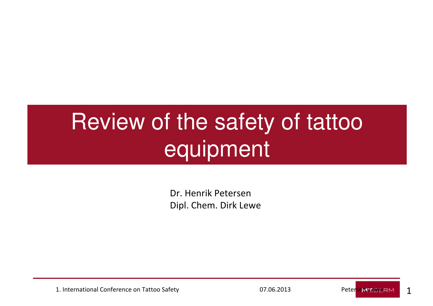# Review of the safety of tattoo equipment

Dr. Henrik PetersenDipl. Chem. Dirk Lewe

1. International Conference on Tattoo Safety **1. International Conference on Tattoo Safety** 1. **Determined by A. 1970**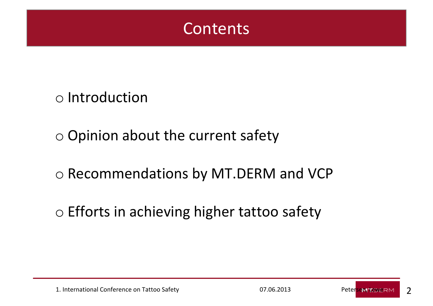

o Introduction

o Opinion about the current safety

o Recommendations by MT.DERM and VCP

o Efforts in achieving higher tattoo safety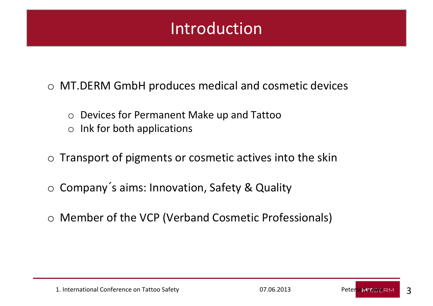#### Introduction

o MT.DERM GmbH produces medical and cosmetic devices

- o Devices for Permanent Make up and Tattoo
- oInk for both applications
- $\circ$  Transport of pigments or cosmetic actives into the skin
- o Company ´s aims: Innovation, Safety & Quality
- o Member of the VCP (Verband Cosmetic Professionals)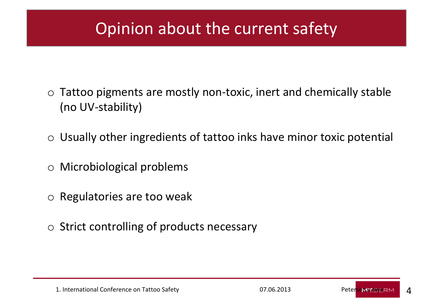#### Opinion about the current safety

- o Tattoo pigments are mostly non-toxic, inert and chemically stable (no UV-stability)
- $\circ$  Usually other ingredients of tattoo inks have minor toxic potential
- o Microbiological problems
- o Regulatories are too weak
- $\circ$  Strict controlling of products necessary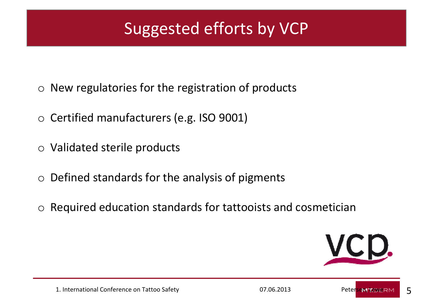# Suggested efforts by VCP

- $\circ$  New regulatories for the registration of products
- $\circ$  Certified manufacturers (e.g. ISO 9001)
- o Validated sterile products
- $\circ$  Defined standards for the analysis of pigments
- $\circ$  Required education standards for tattooists and cosmetician

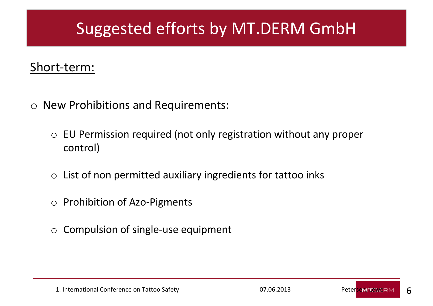### Suggested efforts by MT.DERM GmbH

#### Short-term:

- o New Prohibitions and Requirements:
	- $\circ$  EU Permission required (not only registration without any proper control)
	- $\circ$  List of non permitted auxiliary ingredients for tattoo inks
	- o Prohibition of Azo-Pigments
	- oCompulsion of single-use equipment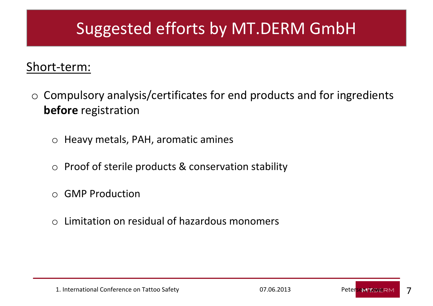### Suggested efforts by MT.DERM GmbH

#### Short-term:

- o Compulsory analysis/certificates for end products and for ingredients **before** registration
	- $\circ$  Heavy metals, PAH, aromatic amines
	- o Proof of sterile products & conservation stability
	- o GMP Production
	- $\Omega$ Limitation on residual of hazardous monomers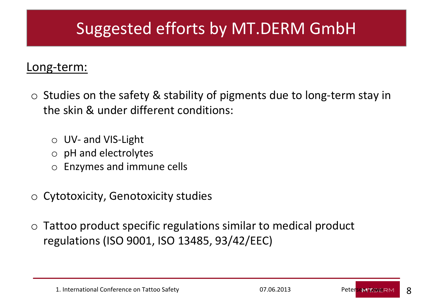### Suggested efforts by MT.DERM GmbH

#### Long-term:

- $\circ$  Studies on the safety & stability of pigments due to long-term stay in the skin & under different conditions:
	- o UV- and VIS-Light
	- o pH and electrolytes
	- o Enzymes and immune cells
- $\circ$  Cytotoxicity, Genotoxicity studies
- o Tattoo product specific regulations similar to medical product regulations (ISO 9001, ISO 13485, 93/42/EEC)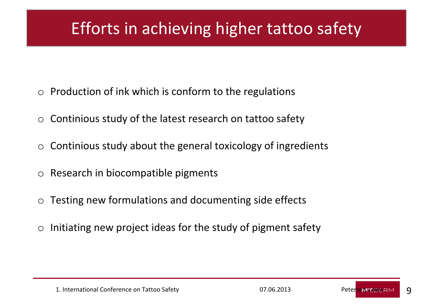### Efforts in achieving higher tattoo safety

- oProduction of ink which is conform to the regulations
- $\Omega$ Continious study of the latest research on tattoo safety
- oContinious study about the general toxicology of ingredients
- oResearch in biocompatible pigments
- oTesting new formulations and documenting side effects
- oInitiating new project ideas for the study of pigment safety